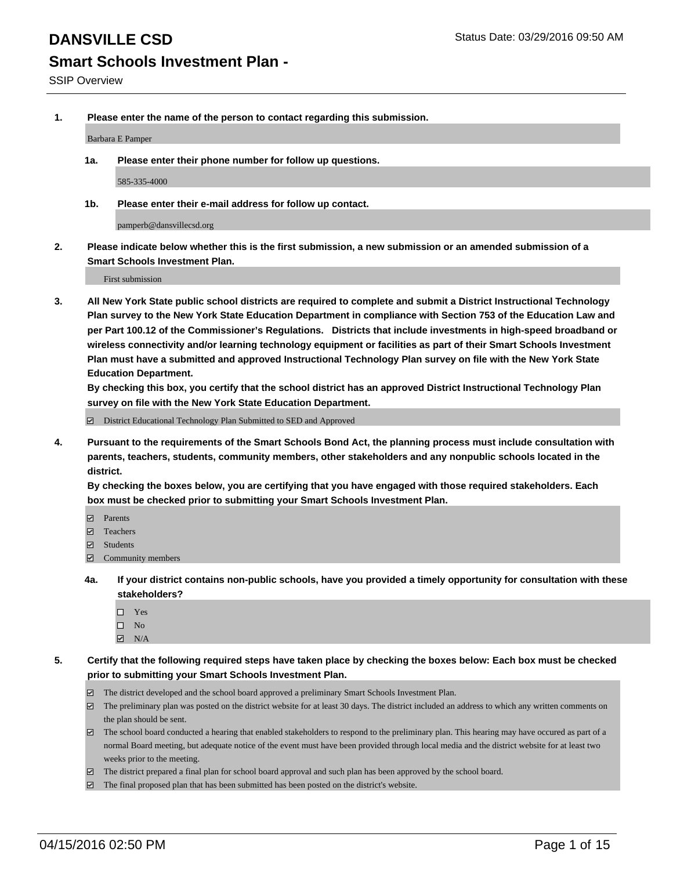**1. Please enter the name of the person to contact regarding this submission.**

Barbara E Pamper

**1a. Please enter their phone number for follow up questions.**

585-335-4000

**1b. Please enter their e-mail address for follow up contact.**

pamperb@dansvillecsd.org

**2. Please indicate below whether this is the first submission, a new submission or an amended submission of a Smart Schools Investment Plan.**

First submission

**3. All New York State public school districts are required to complete and submit a District Instructional Technology Plan survey to the New York State Education Department in compliance with Section 753 of the Education Law and per Part 100.12 of the Commissioner's Regulations. Districts that include investments in high-speed broadband or wireless connectivity and/or learning technology equipment or facilities as part of their Smart Schools Investment Plan must have a submitted and approved Instructional Technology Plan survey on file with the New York State Education Department.** 

**By checking this box, you certify that the school district has an approved District Instructional Technology Plan survey on file with the New York State Education Department.**

■ District Educational Technology Plan Submitted to SED and Approved

**4. Pursuant to the requirements of the Smart Schools Bond Act, the planning process must include consultation with parents, teachers, students, community members, other stakeholders and any nonpublic schools located in the district.** 

**By checking the boxes below, you are certifying that you have engaged with those required stakeholders. Each box must be checked prior to submitting your Smart Schools Investment Plan.**

- **Parents**
- □ Teachers
- Students
- $\boxdot$  Community members
- **4a. If your district contains non-public schools, have you provided a timely opportunity for consultation with these stakeholders?**
	- □ Yes
	- $\square$  No
	- $\boxtimes$  N/A
- **5. Certify that the following required steps have taken place by checking the boxes below: Each box must be checked prior to submitting your Smart Schools Investment Plan.**
	- The district developed and the school board approved a preliminary Smart Schools Investment Plan.
	- The preliminary plan was posted on the district website for at least 30 days. The district included an address to which any written comments on the plan should be sent.
	- $\Box$  The school board conducted a hearing that enabled stakeholders to respond to the preliminary plan. This hearing may have occured as part of a normal Board meeting, but adequate notice of the event must have been provided through local media and the district website for at least two weeks prior to the meeting.
	- The district prepared a final plan for school board approval and such plan has been approved by the school board.
	- The final proposed plan that has been submitted has been posted on the district's website.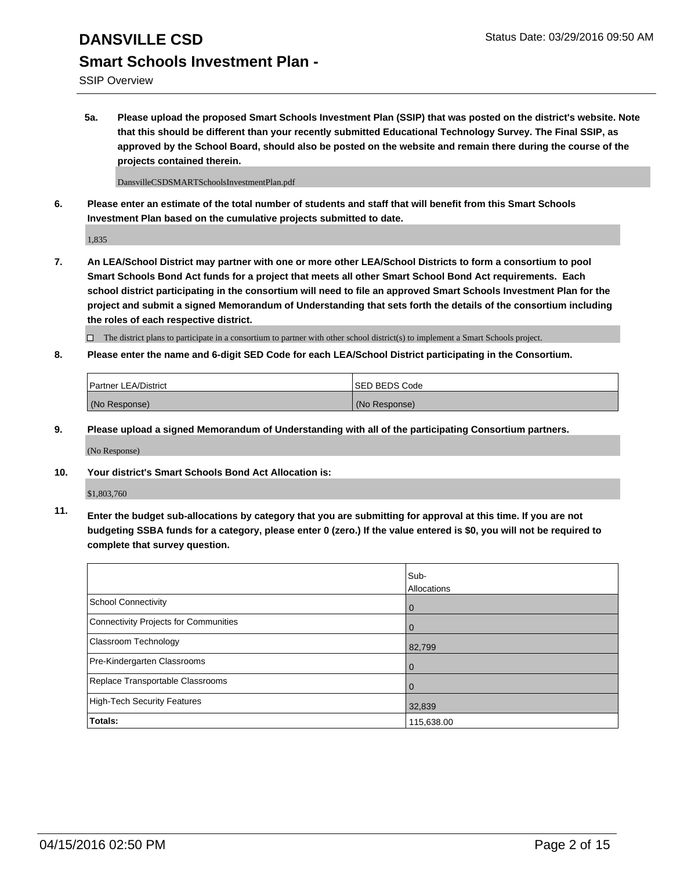SSIP Overview

**5a. Please upload the proposed Smart Schools Investment Plan (SSIP) that was posted on the district's website. Note that this should be different than your recently submitted Educational Technology Survey. The Final SSIP, as approved by the School Board, should also be posted on the website and remain there during the course of the projects contained therein.**

DansvilleCSDSMARTSchoolsInvestmentPlan.pdf

**6. Please enter an estimate of the total number of students and staff that will benefit from this Smart Schools Investment Plan based on the cumulative projects submitted to date.**

1,835

**7. An LEA/School District may partner with one or more other LEA/School Districts to form a consortium to pool Smart Schools Bond Act funds for a project that meets all other Smart School Bond Act requirements. Each school district participating in the consortium will need to file an approved Smart Schools Investment Plan for the project and submit a signed Memorandum of Understanding that sets forth the details of the consortium including the roles of each respective district.**

 $\Box$  The district plans to participate in a consortium to partner with other school district(s) to implement a Smart Schools project.

**8. Please enter the name and 6-digit SED Code for each LEA/School District participating in the Consortium.**

| Partner LEA/District | <b>ISED BEDS Code</b> |
|----------------------|-----------------------|
| (No Response)        | (No Response)         |

**9. Please upload a signed Memorandum of Understanding with all of the participating Consortium partners.**

(No Response)

**10. Your district's Smart Schools Bond Act Allocation is:**

\$1,803,760

**11. Enter the budget sub-allocations by category that you are submitting for approval at this time. If you are not budgeting SSBA funds for a category, please enter 0 (zero.) If the value entered is \$0, you will not be required to complete that survey question.**

|                                       | Sub-<br>Allocations |
|---------------------------------------|---------------------|
| <b>School Connectivity</b>            | 0                   |
| Connectivity Projects for Communities | 0                   |
| Classroom Technology                  | 82,799              |
| Pre-Kindergarten Classrooms           | $\Omega$            |
| Replace Transportable Classrooms      | 0                   |
| High-Tech Security Features           | 32,839              |
| <b>Totals:</b>                        | 115,638.00          |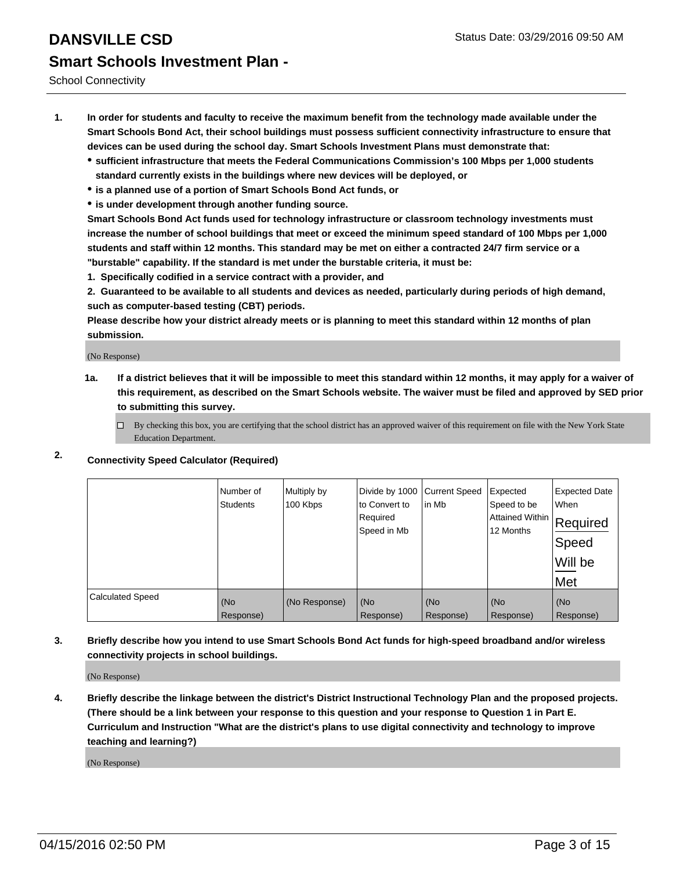School Connectivity

- **1. In order for students and faculty to receive the maximum benefit from the technology made available under the Smart Schools Bond Act, their school buildings must possess sufficient connectivity infrastructure to ensure that devices can be used during the school day. Smart Schools Investment Plans must demonstrate that:**
	- **sufficient infrastructure that meets the Federal Communications Commission's 100 Mbps per 1,000 students standard currently exists in the buildings where new devices will be deployed, or**
	- **is a planned use of a portion of Smart Schools Bond Act funds, or**
	- **is under development through another funding source.**

**Smart Schools Bond Act funds used for technology infrastructure or classroom technology investments must increase the number of school buildings that meet or exceed the minimum speed standard of 100 Mbps per 1,000 students and staff within 12 months. This standard may be met on either a contracted 24/7 firm service or a "burstable" capability. If the standard is met under the burstable criteria, it must be:**

**1. Specifically codified in a service contract with a provider, and**

**2. Guaranteed to be available to all students and devices as needed, particularly during periods of high demand, such as computer-based testing (CBT) periods.**

**Please describe how your district already meets or is planning to meet this standard within 12 months of plan submission.**

(No Response)

- **1a. If a district believes that it will be impossible to meet this standard within 12 months, it may apply for a waiver of this requirement, as described on the Smart Schools website. The waiver must be filed and approved by SED prior to submitting this survey.**
	- □ By checking this box, you are certifying that the school district has an approved waiver of this requirement on file with the New York State Education Department.
- **2. Connectivity Speed Calculator (Required)**

|                         | Number of<br>Students | Multiply by<br>100 Kbps | Divide by 1000<br>to Convert to<br>Required<br>Speed in Mb | <b>Current Speed</b><br>in Mb | Expected<br>Speed to be<br> Attained Within   Required<br>12 Months | <b>Expected Date</b><br>When<br>Speed<br>Will be<br>Met |
|-------------------------|-----------------------|-------------------------|------------------------------------------------------------|-------------------------------|---------------------------------------------------------------------|---------------------------------------------------------|
| <b>Calculated Speed</b> | (No                   | (No Response)           | (No                                                        | (No                           | (No                                                                 | (No                                                     |
|                         | Response)             |                         | Response)                                                  | Response)                     | Response)                                                           | Response)                                               |

**3. Briefly describe how you intend to use Smart Schools Bond Act funds for high-speed broadband and/or wireless connectivity projects in school buildings.**

(No Response)

**4. Briefly describe the linkage between the district's District Instructional Technology Plan and the proposed projects. (There should be a link between your response to this question and your response to Question 1 in Part E. Curriculum and Instruction "What are the district's plans to use digital connectivity and technology to improve teaching and learning?)**

(No Response)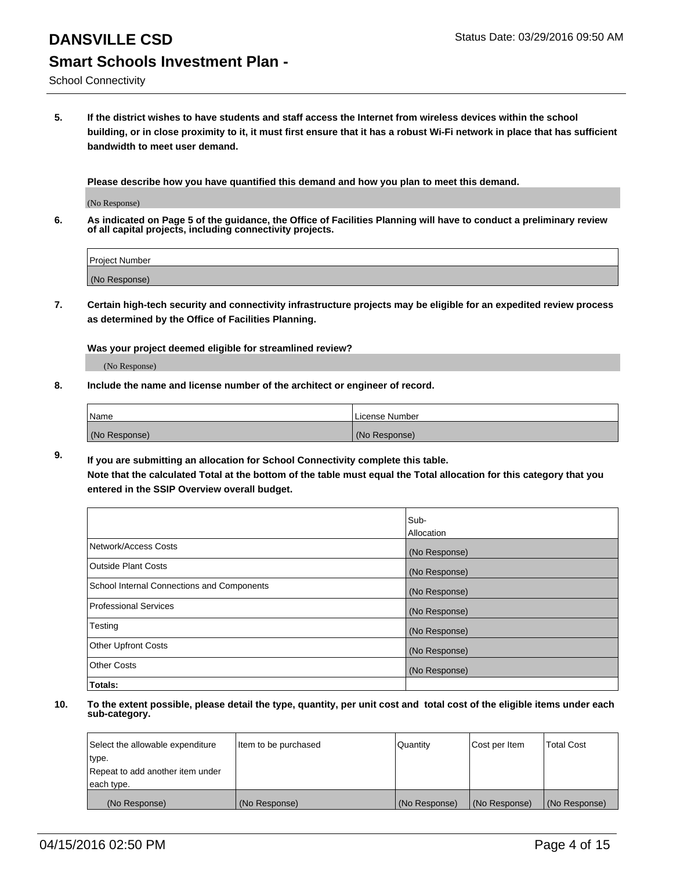School Connectivity

**5. If the district wishes to have students and staff access the Internet from wireless devices within the school building, or in close proximity to it, it must first ensure that it has a robust Wi-Fi network in place that has sufficient bandwidth to meet user demand.**

**Please describe how you have quantified this demand and how you plan to meet this demand.**

(No Response)

**6. As indicated on Page 5 of the guidance, the Office of Facilities Planning will have to conduct a preliminary review of all capital projects, including connectivity projects.**

| <b>Project Number</b> |  |
|-----------------------|--|
| (No Response)         |  |

**7. Certain high-tech security and connectivity infrastructure projects may be eligible for an expedited review process as determined by the Office of Facilities Planning.**

**Was your project deemed eligible for streamlined review?**

(No Response)

**8. Include the name and license number of the architect or engineer of record.**

| Name          | License Number |
|---------------|----------------|
| (No Response) | (No Response)  |

**9. If you are submitting an allocation for School Connectivity complete this table. Note that the calculated Total at the bottom of the table must equal the Total allocation for this category that you entered in the SSIP Overview overall budget.** 

|                                            | Sub-          |
|--------------------------------------------|---------------|
|                                            | Allocation    |
| Network/Access Costs                       | (No Response) |
| <b>Outside Plant Costs</b>                 | (No Response) |
| School Internal Connections and Components | (No Response) |
| <b>Professional Services</b>               | (No Response) |
| Testing                                    | (No Response) |
| <b>Other Upfront Costs</b>                 | (No Response) |
| <b>Other Costs</b>                         | (No Response) |
| Totals:                                    |               |

| Select the allowable expenditure | Item to be purchased | Quantity      | Cost per Item | <b>Total Cost</b> |
|----------------------------------|----------------------|---------------|---------------|-------------------|
| type.                            |                      |               |               |                   |
| Repeat to add another item under |                      |               |               |                   |
| each type.                       |                      |               |               |                   |
| (No Response)                    | (No Response)        | (No Response) | (No Response) | (No Response)     |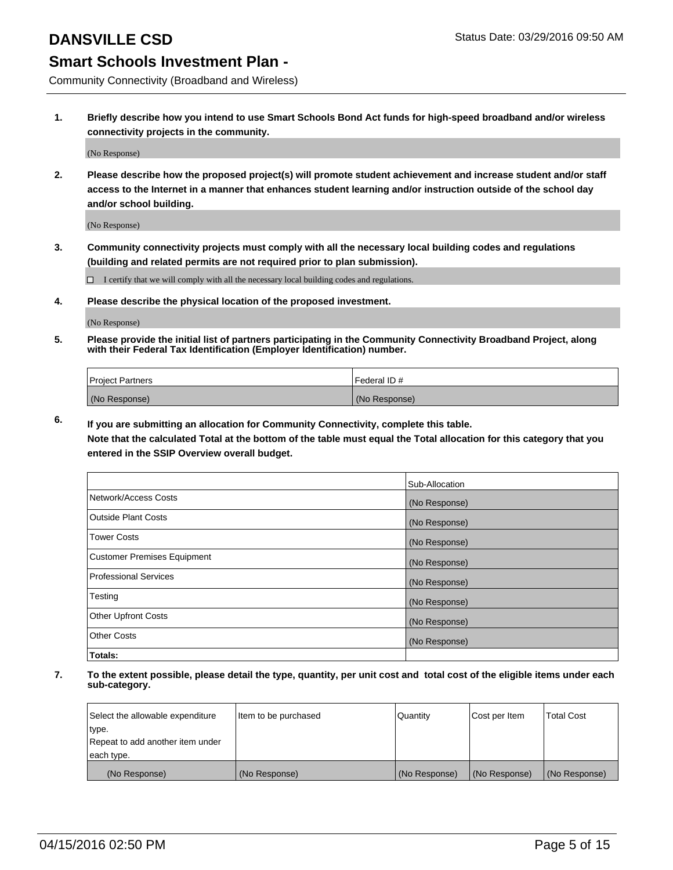Community Connectivity (Broadband and Wireless)

**1. Briefly describe how you intend to use Smart Schools Bond Act funds for high-speed broadband and/or wireless connectivity projects in the community.**

(No Response)

**2. Please describe how the proposed project(s) will promote student achievement and increase student and/or staff access to the Internet in a manner that enhances student learning and/or instruction outside of the school day and/or school building.**

(No Response)

**3. Community connectivity projects must comply with all the necessary local building codes and regulations (building and related permits are not required prior to plan submission).**

 $\Box$  I certify that we will comply with all the necessary local building codes and regulations.

**4. Please describe the physical location of the proposed investment.**

(No Response)

**5. Please provide the initial list of partners participating in the Community Connectivity Broadband Project, along with their Federal Tax Identification (Employer Identification) number.**

| <b>Project Partners</b> | I Federal ID # |
|-------------------------|----------------|
| (No Response)           | (No Response)  |

**6. If you are submitting an allocation for Community Connectivity, complete this table.**

**Note that the calculated Total at the bottom of the table must equal the Total allocation for this category that you entered in the SSIP Overview overall budget.**

|                                    | Sub-Allocation |
|------------------------------------|----------------|
| Network/Access Costs               | (No Response)  |
| Outside Plant Costs                | (No Response)  |
| <b>Tower Costs</b>                 | (No Response)  |
| <b>Customer Premises Equipment</b> | (No Response)  |
| Professional Services              | (No Response)  |
| Testing                            | (No Response)  |
| <b>Other Upfront Costs</b>         | (No Response)  |
| Other Costs                        | (No Response)  |
| Totals:                            |                |

| Select the allowable expenditure | Item to be purchased | l Quantitv    | Cost per Item | <b>Total Cost</b> |
|----------------------------------|----------------------|---------------|---------------|-------------------|
| type.                            |                      |               |               |                   |
| Repeat to add another item under |                      |               |               |                   |
| each type.                       |                      |               |               |                   |
| (No Response)                    | (No Response)        | (No Response) | (No Response) | (No Response)     |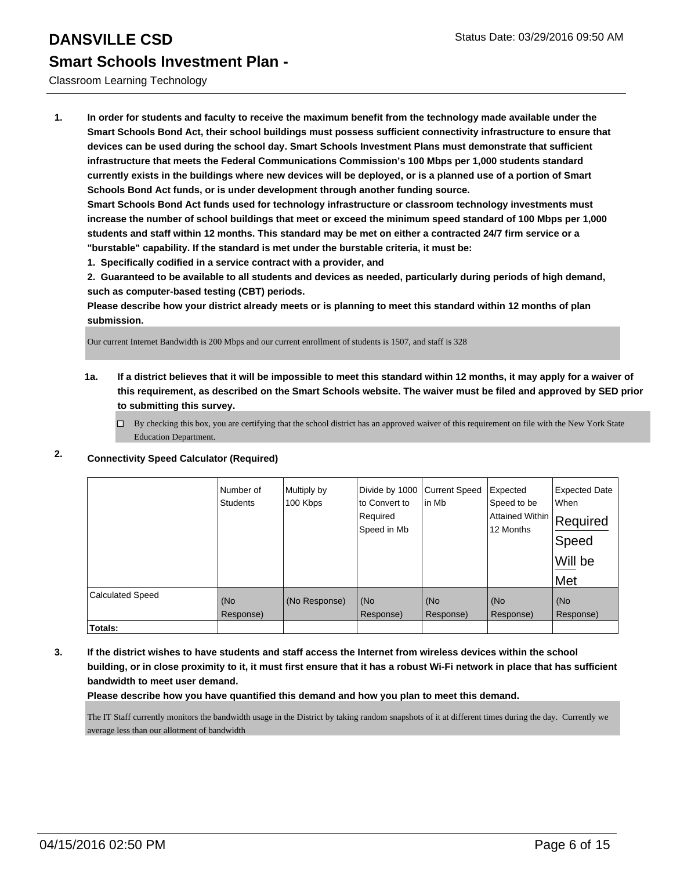### Classroom Learning Technology

**1. In order for students and faculty to receive the maximum benefit from the technology made available under the Smart Schools Bond Act, their school buildings must possess sufficient connectivity infrastructure to ensure that devices can be used during the school day. Smart Schools Investment Plans must demonstrate that sufficient infrastructure that meets the Federal Communications Commission's 100 Mbps per 1,000 students standard currently exists in the buildings where new devices will be deployed, or is a planned use of a portion of Smart Schools Bond Act funds, or is under development through another funding source.**

**Smart Schools Bond Act funds used for technology infrastructure or classroom technology investments must increase the number of school buildings that meet or exceed the minimum speed standard of 100 Mbps per 1,000 students and staff within 12 months. This standard may be met on either a contracted 24/7 firm service or a "burstable" capability. If the standard is met under the burstable criteria, it must be:**

**1. Specifically codified in a service contract with a provider, and**

**2. Guaranteed to be available to all students and devices as needed, particularly during periods of high demand, such as computer-based testing (CBT) periods.**

**Please describe how your district already meets or is planning to meet this standard within 12 months of plan submission.**

Our current Internet Bandwidth is 200 Mbps and our current enrollment of students is 1507, and staff is 328

**1a. If a district believes that it will be impossible to meet this standard within 12 months, it may apply for a waiver of this requirement, as described on the Smart Schools website. The waiver must be filed and approved by SED prior to submitting this survey.**

 $\Box$  By checking this box, you are certifying that the school district has an approved waiver of this requirement on file with the New York State Education Department.

|                         | Number of<br><b>Students</b> | Multiply by<br>100 Kbps | Divide by 1000<br>to Convert to<br>Required<br>Speed in Mb | <b>Current Speed</b><br>in Mb | Expected<br>Speed to be<br> Attained Within   Required<br>12 Months | <b>Expected Date</b><br>When<br>Speed<br>Will be<br>Met |
|-------------------------|------------------------------|-------------------------|------------------------------------------------------------|-------------------------------|---------------------------------------------------------------------|---------------------------------------------------------|
| <b>Calculated Speed</b> | (No<br>Response)             | (No Response)           | (No<br>Response)                                           | (No<br>Response)              | (No<br>Response)                                                    | (No<br>Response)                                        |
| Totals:                 |                              |                         |                                                            |                               |                                                                     |                                                         |

### **2. Connectivity Speed Calculator (Required)**

**3. If the district wishes to have students and staff access the Internet from wireless devices within the school building, or in close proximity to it, it must first ensure that it has a robust Wi-Fi network in place that has sufficient bandwidth to meet user demand.**

**Please describe how you have quantified this demand and how you plan to meet this demand.**

The IT Staff currently monitors the bandwidth usage in the District by taking random snapshots of it at different times during the day. Currently we average less than our allotment of bandwidth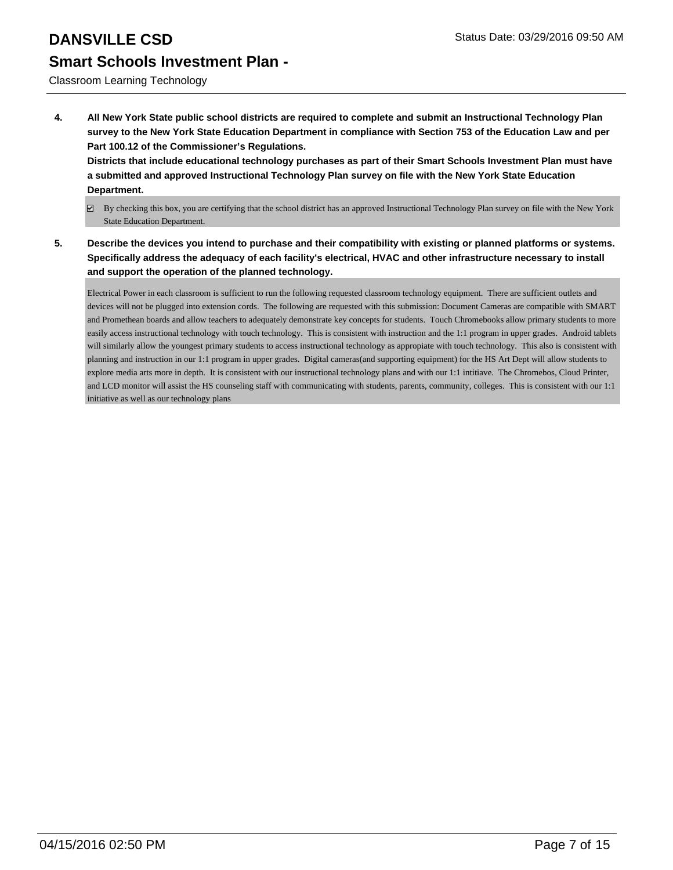Classroom Learning Technology

**4. All New York State public school districts are required to complete and submit an Instructional Technology Plan survey to the New York State Education Department in compliance with Section 753 of the Education Law and per Part 100.12 of the Commissioner's Regulations.**

**Districts that include educational technology purchases as part of their Smart Schools Investment Plan must have a submitted and approved Instructional Technology Plan survey on file with the New York State Education Department.**

- By checking this box, you are certifying that the school district has an approved Instructional Technology Plan survey on file with the New York State Education Department.
- **5. Describe the devices you intend to purchase and their compatibility with existing or planned platforms or systems. Specifically address the adequacy of each facility's electrical, HVAC and other infrastructure necessary to install and support the operation of the planned technology.**

Electrical Power in each classroom is sufficient to run the following requested classroom technology equipment. There are sufficient outlets and devices will not be plugged into extension cords. The following are requested with this submission: Document Cameras are compatible with SMART and Promethean boards and allow teachers to adequately demonstrate key concepts for students. Touch Chromebooks allow primary students to more easily access instructional technology with touch technology. This is consistent with instruction and the 1:1 program in upper grades. Android tablets will similarly allow the youngest primary students to access instructional technology as appropiate with touch technology. This also is consistent with planning and instruction in our 1:1 program in upper grades. Digital cameras(and supporting equipment) for the HS Art Dept will allow students to explore media arts more in depth. It is consistent with our instructional technology plans and with our 1:1 intitiave. The Chromebos, Cloud Printer, and LCD monitor will assist the HS counseling staff with communicating with students, parents, community, colleges. This is consistent with our 1:1 initiative as well as our technology plans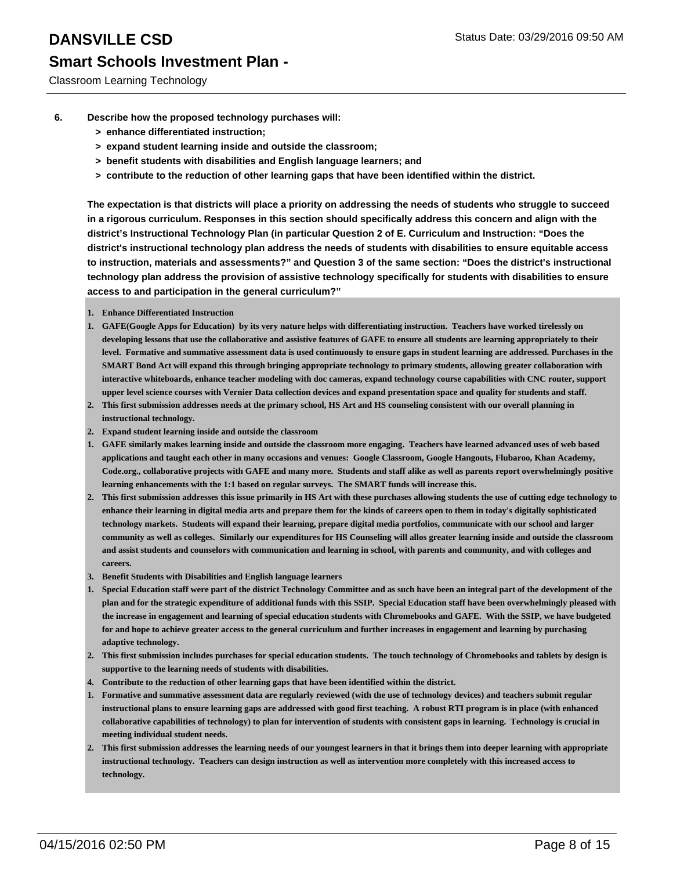- **6. Describe how the proposed technology purchases will:**
	- **> enhance differentiated instruction;**
	- **> expand student learning inside and outside the classroom;**
	- **> benefit students with disabilities and English language learners; and**
	- **> contribute to the reduction of other learning gaps that have been identified within the district.**

**The expectation is that districts will place a priority on addressing the needs of students who struggle to succeed in a rigorous curriculum. Responses in this section should specifically address this concern and align with the district's Instructional Technology Plan (in particular Question 2 of E. Curriculum and Instruction: "Does the district's instructional technology plan address the needs of students with disabilities to ensure equitable access to instruction, materials and assessments?" and Question 3 of the same section: "Does the district's instructional technology plan address the provision of assistive technology specifically for students with disabilities to ensure access to and participation in the general curriculum?"**

- **1. Enhance Differentiated Instruction**
- **GAFE(Google Apps for Education) by its very nature helps with differentiating instruction. Teachers have worked tirelessly on 1. developing lessons that use the collaborative and assistive features of GAFE to ensure all students are learning appropriately to their level. Formative and summative assessment data is used continuously to ensure gaps in student learning are addressed. Purchases in the SMART Bond Act will expand this through bringing appropriate technology to primary students, allowing greater collaboration with interactive whiteboards, enhance teacher modeling with doc cameras, expand technology course capabilities with CNC router, support upper level science courses with Vernier Data collection devices and expand presentation space and quality for students and staff.**
- **This first submission addresses needs at the primary school, HS Art and HS counseling consistent with our overall planning in 2. instructional technology.**
- **2. Expand student learning inside and outside the classroom**
- **GAFE similarly makes learning inside and outside the classroom more engaging. Teachers have learned advanced uses of web based 1. applications and taught each other in many occasions and venues: Google Classroom, Google Hangouts, Flubaroo, Khan Academy, Code.org., collaborative projects with GAFE and many more. Students and staff alike as well as parents report overwhelmingly positive learning enhancements with the 1:1 based on regular surveys. The SMART funds will increase this.**
- **This first submission addresses this issue primarily in HS Art with these purchases allowing students the use of cutting edge technology to 2. enhance their learning in digital media arts and prepare them for the kinds of careers open to them in today's digitally sophisticated technology markets. Students will expand their learning, prepare digital media portfolios, communicate with our school and larger community as well as colleges. Similarly our expenditures for HS Counseling will allos greater learning inside and outside the classroom and assist students and counselors with communication and learning in school, with parents and community, and with colleges and careers.**
- **3. Benefit Students with Disabilities and English language learners**
- **Special Education staff were part of the district Technology Committee and as such have been an integral part of the development of the 1. plan and for the strategic expenditure of additional funds with this SSIP. Special Education staff have been overwhelmingly pleased with the increase in engagement and learning of special education students with Chromebooks and GAFE. With the SSIP, we have budgeted for and hope to achieve greater access to the general curriculum and further increases in engagement and learning by purchasing adaptive technology.**
- **This first submission includes purchases for special education students. The touch technology of Chromebooks and tablets by design is 2. supportive to the learning needs of students with disabilities.**
- **4. Contribute to the reduction of other learning gaps that have been identified within the district.**
- **Formative and summative assessment data are regularly reviewed (with the use of technology devices) and teachers submit regular 1. instructional plans to ensure learning gaps are addressed with good first teaching. A robust RTI program is in place (with enhanced collaborative capabilities of technology) to plan for intervention of students with consistent gaps in learning. Technology is crucial in meeting individual student needs.**
- **This first submission addresses the learning needs of our youngest learners in that it brings them into deeper learning with appropriate 2. instructional technology. Teachers can design instruction as well as intervention more completely with this increased access to technology.**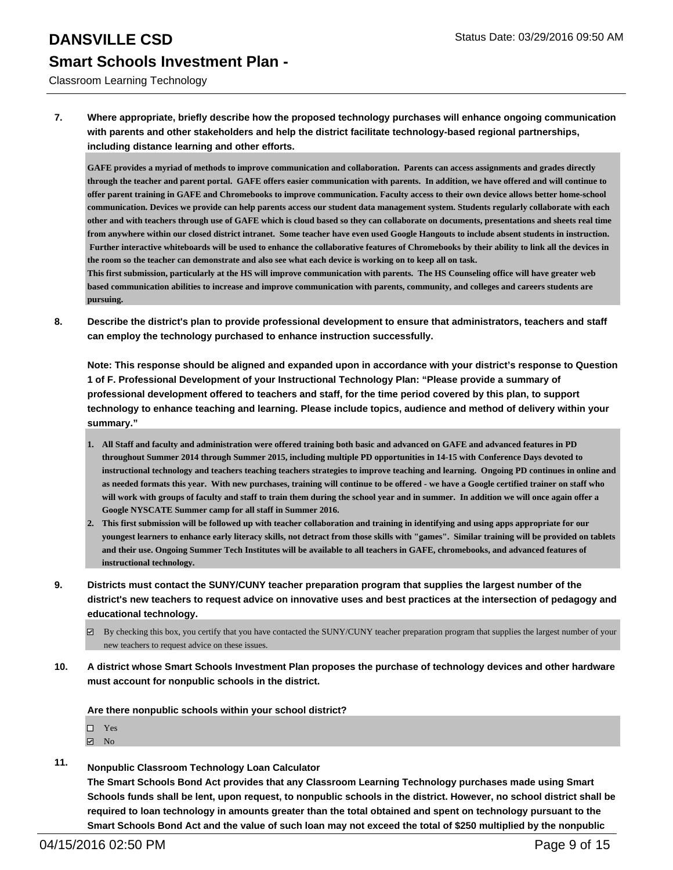Classroom Learning Technology

**7. Where appropriate, briefly describe how the proposed technology purchases will enhance ongoing communication with parents and other stakeholders and help the district facilitate technology-based regional partnerships, including distance learning and other efforts.**

**GAFE provides a myriad of methods to improve communication and collaboration. Parents can access assignments and grades directly through the teacher and parent portal. GAFE offers easier communication with parents. In addition, we have offered and will continue to offer parent training in GAFE and Chromebooks to improve communication. Faculty access to their own device allows better home-school communication. Devices we provide can help parents access our student data management system. Students regularly collaborate with each other and with teachers through use of GAFE which is cloud based so they can collaborate on documents, presentations and sheets real time from anywhere within our closed district intranet. Some teacher have even used Google Hangouts to include absent students in instruction. Further interactive whiteboards will be used to enhance the collaborative features of Chromebooks by their ability to link all the devices in the room so the teacher can demonstrate and also see what each device is working on to keep all on task.**

**This first submission, particularly at the HS will improve communication with parents. The HS Counseling office will have greater web based communication abilities to increase and improve communication with parents, community, and colleges and careers students are pursuing.** 

**8. Describe the district's plan to provide professional development to ensure that administrators, teachers and staff can employ the technology purchased to enhance instruction successfully.**

**Note: This response should be aligned and expanded upon in accordance with your district's response to Question 1 of F. Professional Development of your Instructional Technology Plan: "Please provide a summary of professional development offered to teachers and staff, for the time period covered by this plan, to support technology to enhance teaching and learning. Please include topics, audience and method of delivery within your summary."**

- **All Staff and faculty and administration were offered training both basic and advanced on GAFE and advanced features in PD 1. throughout Summer 2014 through Summer 2015, including multiple PD opportunities in 14-15 with Conference Days devoted to instructional technology and teachers teaching teachers strategies to improve teaching and learning. Ongoing PD continues in online and as needed formats this year. With new purchases, training will continue to be offered - we have a Google certified trainer on staff who will work with groups of faculty and staff to train them during the school year and in summer. In addition we will once again offer a Google NYSCATE Summer camp for all staff in Summer 2016.**
- **This first submission will be followed up with teacher collaboration and training in identifying and using apps appropriate for our 2. youngest learners to enhance early literacy skills, not detract from those skills with "games". Similar training will be provided on tablets and their use. Ongoing Summer Tech Institutes will be available to all teachers in GAFE, chromebooks, and advanced features of instructional technology.**
- **9. Districts must contact the SUNY/CUNY teacher preparation program that supplies the largest number of the district's new teachers to request advice on innovative uses and best practices at the intersection of pedagogy and educational technology.**
	- $\boxtimes$  By checking this box, you certify that you have contacted the SUNY/CUNY teacher preparation program that supplies the largest number of your new teachers to request advice on these issues.
- **10. A district whose Smart Schools Investment Plan proposes the purchase of technology devices and other hardware must account for nonpublic schools in the district.**

**Are there nonpublic schools within your school district?**

- □ Yes
- $\boxtimes$  No
- **11. Nonpublic Classroom Technology Loan Calculator**

**The Smart Schools Bond Act provides that any Classroom Learning Technology purchases made using Smart Schools funds shall be lent, upon request, to nonpublic schools in the district. However, no school district shall be required to loan technology in amounts greater than the total obtained and spent on technology pursuant to the Smart Schools Bond Act and the value of such loan may not exceed the total of \$250 multiplied by the nonpublic**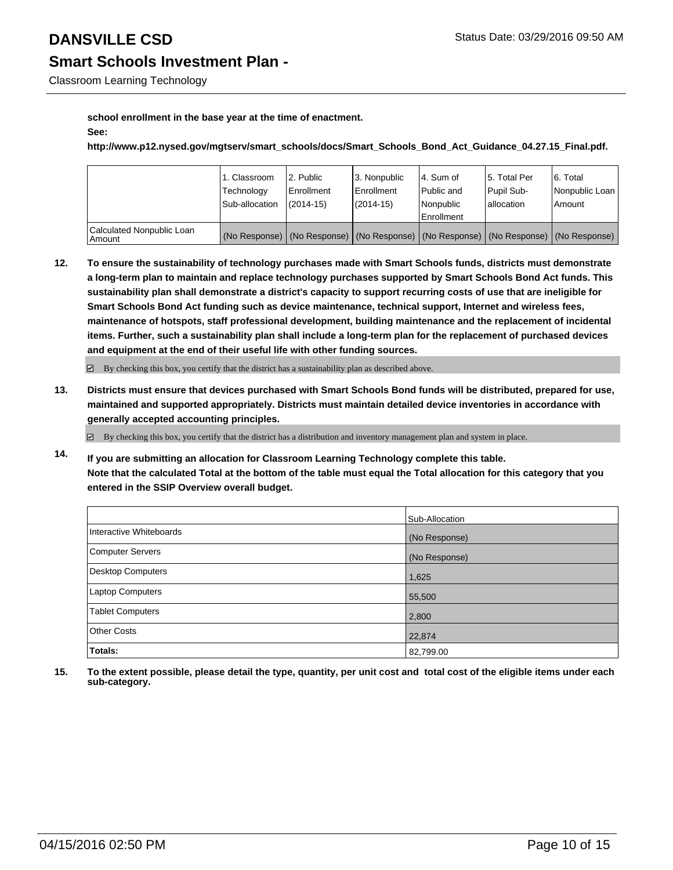Classroom Learning Technology

### **school enrollment in the base year at the time of enactment. See:**

**http://www.p12.nysed.gov/mgtserv/smart\_schools/docs/Smart\_Schools\_Bond\_Act\_Guidance\_04.27.15\_Final.pdf.**

|                                       | 1. Classroom   | 2. Public                                                                                     | l 3. Nonpublic | 4. Sum of         | 15. Total Per | 6. Total       |
|---------------------------------------|----------------|-----------------------------------------------------------------------------------------------|----------------|-------------------|---------------|----------------|
|                                       | Technology     | Enrollment                                                                                    | Enrollment     | Public and        | Pupil Sub-    | Nonpublic Loan |
|                                       | Sub-allocation | $(2014-15)$                                                                                   | (2014-15)      | Nonpublic         | lallocation   | l Amount       |
|                                       |                |                                                                                               |                | <b>Enrollment</b> |               |                |
| Calculated Nonpublic Loan<br>  Amount |                | (No Response)   (No Response)   (No Response)   (No Response)   (No Response)   (No Response) |                |                   |               |                |

**12. To ensure the sustainability of technology purchases made with Smart Schools funds, districts must demonstrate a long-term plan to maintain and replace technology purchases supported by Smart Schools Bond Act funds. This sustainability plan shall demonstrate a district's capacity to support recurring costs of use that are ineligible for Smart Schools Bond Act funding such as device maintenance, technical support, Internet and wireless fees, maintenance of hotspots, staff professional development, building maintenance and the replacement of incidental items. Further, such a sustainability plan shall include a long-term plan for the replacement of purchased devices and equipment at the end of their useful life with other funding sources.**

 $\boxtimes$  By checking this box, you certify that the district has a sustainability plan as described above.

**13. Districts must ensure that devices purchased with Smart Schools Bond funds will be distributed, prepared for use, maintained and supported appropriately. Districts must maintain detailed device inventories in accordance with generally accepted accounting principles.**

 $\boxtimes$  By checking this box, you certify that the district has a distribution and inventory management plan and system in place.

**14. If you are submitting an allocation for Classroom Learning Technology complete this table. Note that the calculated Total at the bottom of the table must equal the Total allocation for this category that you entered in the SSIP Overview overall budget.**

|                          | Sub-Allocation |
|--------------------------|----------------|
| Interactive Whiteboards  | (No Response)  |
| <b>Computer Servers</b>  | (No Response)  |
| <b>Desktop Computers</b> | 1,625          |
| <b>Laptop Computers</b>  | 55,500         |
| <b>Tablet Computers</b>  | 2,800          |
| <b>Other Costs</b>       | 22,874         |
| Totals:                  | 82,799.00      |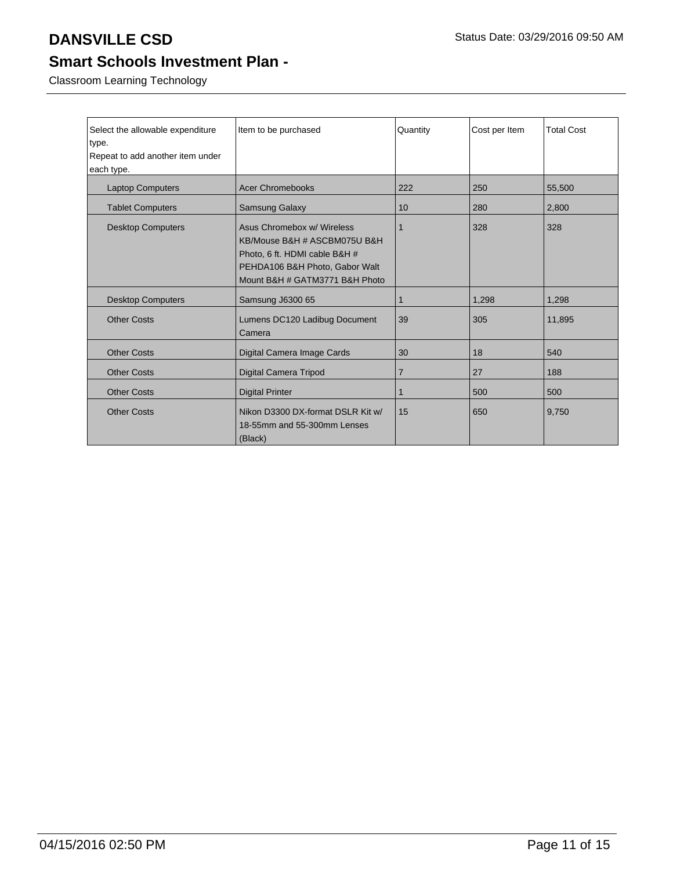Classroom Learning Technology

| Select the allowable expenditure<br>type.<br>Repeat to add another item under<br>each type. | Item to be purchased                                                                                                                                            | Quantity       | Cost per Item | <b>Total Cost</b> |
|---------------------------------------------------------------------------------------------|-----------------------------------------------------------------------------------------------------------------------------------------------------------------|----------------|---------------|-------------------|
|                                                                                             |                                                                                                                                                                 |                |               |                   |
| <b>Laptop Computers</b>                                                                     | <b>Acer Chromebooks</b>                                                                                                                                         | 222            | 250           | 55,500            |
| <b>Tablet Computers</b>                                                                     | Samsung Galaxy                                                                                                                                                  | 10             | 280           | 2,800             |
| <b>Desktop Computers</b>                                                                    | Asus Chromebox w/ Wireless<br>KB/Mouse B&H # ASCBM075U B&H<br>Photo, 6 ft. HDMI cable B&H #<br>PEHDA106 B&H Photo, Gabor Walt<br>Mount B&H # GATM3771 B&H Photo | 1              | 328           | 328               |
| <b>Desktop Computers</b>                                                                    | Samsung J6300 65                                                                                                                                                | 1              | 1,298         | 1.298             |
| <b>Other Costs</b>                                                                          | Lumens DC120 Ladibug Document<br>Camera                                                                                                                         | 39             | 305           | 11,895            |
| <b>Other Costs</b>                                                                          | Digital Camera Image Cards                                                                                                                                      | 30             | 18            | 540               |
| <b>Other Costs</b>                                                                          | Digital Camera Tripod                                                                                                                                           | $\overline{7}$ | 27            | 188               |
| <b>Other Costs</b>                                                                          | <b>Digital Printer</b>                                                                                                                                          | 1              | 500           | 500               |
| <b>Other Costs</b>                                                                          | Nikon D3300 DX-format DSLR Kit w/<br>18-55mm and 55-300mm Lenses<br>(Black)                                                                                     | 15             | 650           | 9,750             |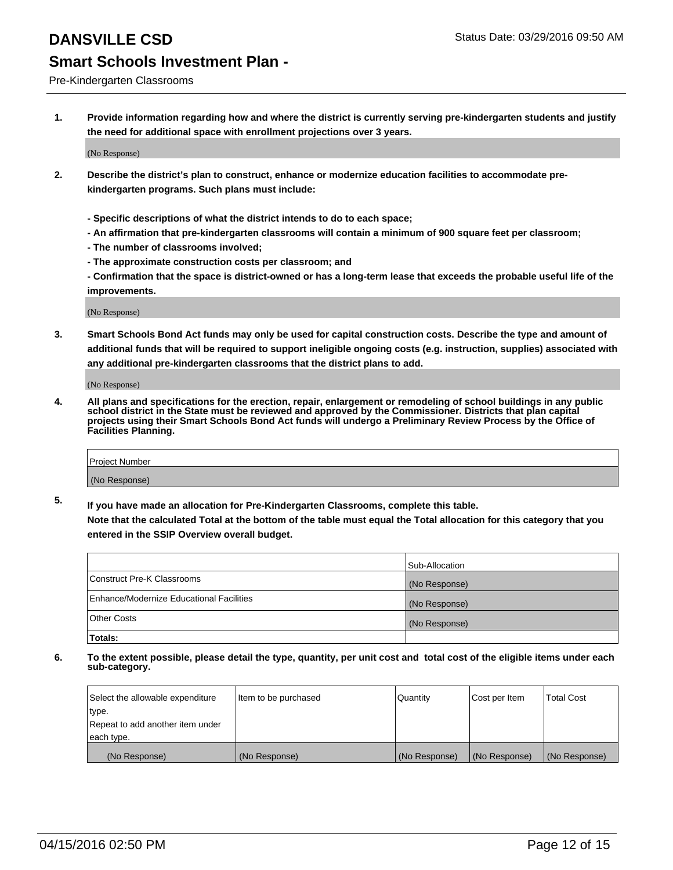# **DANSVILLE CSD DANSVILLE CSD Status Date: 03/29/2016 09:50 AM**

## **Smart Schools Investment Plan -**

Pre-Kindergarten Classrooms

**1. Provide information regarding how and where the district is currently serving pre-kindergarten students and justify the need for additional space with enrollment projections over 3 years.**

(No Response)

- **2. Describe the district's plan to construct, enhance or modernize education facilities to accommodate prekindergarten programs. Such plans must include:**
	- **Specific descriptions of what the district intends to do to each space;**
	- **An affirmation that pre-kindergarten classrooms will contain a minimum of 900 square feet per classroom;**
	- **The number of classrooms involved;**
	- **The approximate construction costs per classroom; and**
	- **Confirmation that the space is district-owned or has a long-term lease that exceeds the probable useful life of the improvements.**

(No Response)

**3. Smart Schools Bond Act funds may only be used for capital construction costs. Describe the type and amount of additional funds that will be required to support ineligible ongoing costs (e.g. instruction, supplies) associated with any additional pre-kindergarten classrooms that the district plans to add.**

(No Response)

**4. All plans and specifications for the erection, repair, enlargement or remodeling of school buildings in any public school district in the State must be reviewed and approved by the Commissioner. Districts that plan capital projects using their Smart Schools Bond Act funds will undergo a Preliminary Review Process by the Office of Facilities Planning.**

| Project Number |  |
|----------------|--|
| (No Response)  |  |

**5. If you have made an allocation for Pre-Kindergarten Classrooms, complete this table. Note that the calculated Total at the bottom of the table must equal the Total allocation for this category that you**

**entered in the SSIP Overview overall budget.**

|                                          | Sub-Allocation |
|------------------------------------------|----------------|
| Construct Pre-K Classrooms               | (No Response)  |
| Enhance/Modernize Educational Facilities | (No Response)  |
| Other Costs                              | (No Response)  |
| Totals:                                  |                |

| Select the allowable expenditure | Item to be purchased | Quantity      | Cost per Item | <b>Total Cost</b> |
|----------------------------------|----------------------|---------------|---------------|-------------------|
| type.                            |                      |               |               |                   |
| Repeat to add another item under |                      |               |               |                   |
| each type.                       |                      |               |               |                   |
| (No Response)                    | (No Response)        | (No Response) | (No Response) | (No Response)     |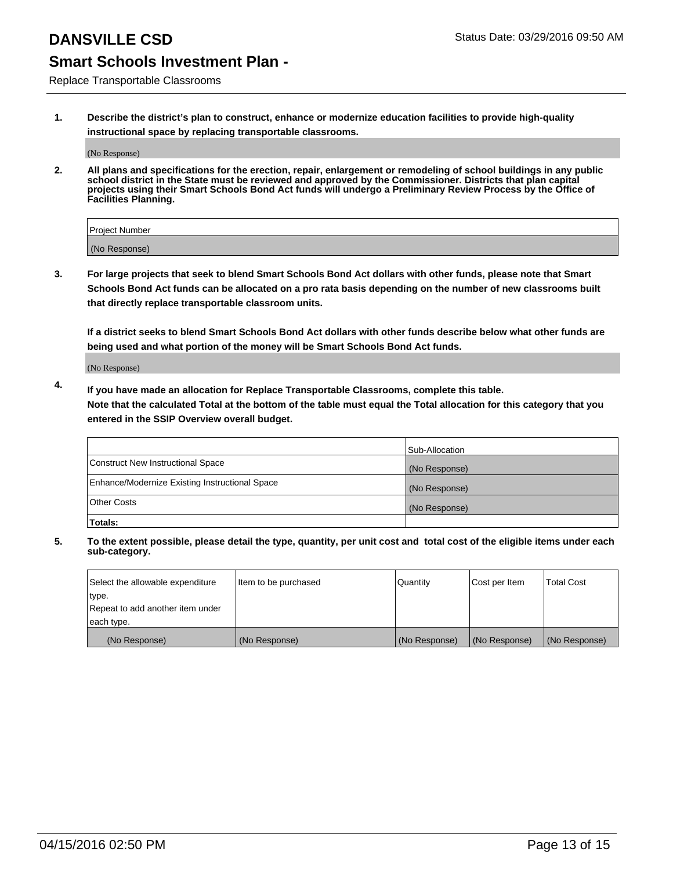Replace Transportable Classrooms

**1. Describe the district's plan to construct, enhance or modernize education facilities to provide high-quality instructional space by replacing transportable classrooms.**

(No Response)

**2. All plans and specifications for the erection, repair, enlargement or remodeling of school buildings in any public school district in the State must be reviewed and approved by the Commissioner. Districts that plan capital projects using their Smart Schools Bond Act funds will undergo a Preliminary Review Process by the Office of Facilities Planning.**

| Project Number |  |
|----------------|--|
| (No Response)  |  |

**3. For large projects that seek to blend Smart Schools Bond Act dollars with other funds, please note that Smart Schools Bond Act funds can be allocated on a pro rata basis depending on the number of new classrooms built that directly replace transportable classroom units.**

**If a district seeks to blend Smart Schools Bond Act dollars with other funds describe below what other funds are being used and what portion of the money will be Smart Schools Bond Act funds.**

(No Response)

**4. If you have made an allocation for Replace Transportable Classrooms, complete this table. Note that the calculated Total at the bottom of the table must equal the Total allocation for this category that you entered in the SSIP Overview overall budget.**

|                                                | Sub-Allocation |
|------------------------------------------------|----------------|
| Construct New Instructional Space              | (No Response)  |
| Enhance/Modernize Existing Instructional Space | (No Response)  |
| <b>Other Costs</b>                             | (No Response)  |
| Totals:                                        |                |

| Select the allowable expenditure | Item to be purchased | <b>Quantity</b> | Cost per Item | <b>Total Cost</b> |
|----------------------------------|----------------------|-----------------|---------------|-------------------|
| type.                            |                      |                 |               |                   |
| Repeat to add another item under |                      |                 |               |                   |
| each type.                       |                      |                 |               |                   |
| (No Response)                    | (No Response)        | (No Response)   | (No Response) | (No Response)     |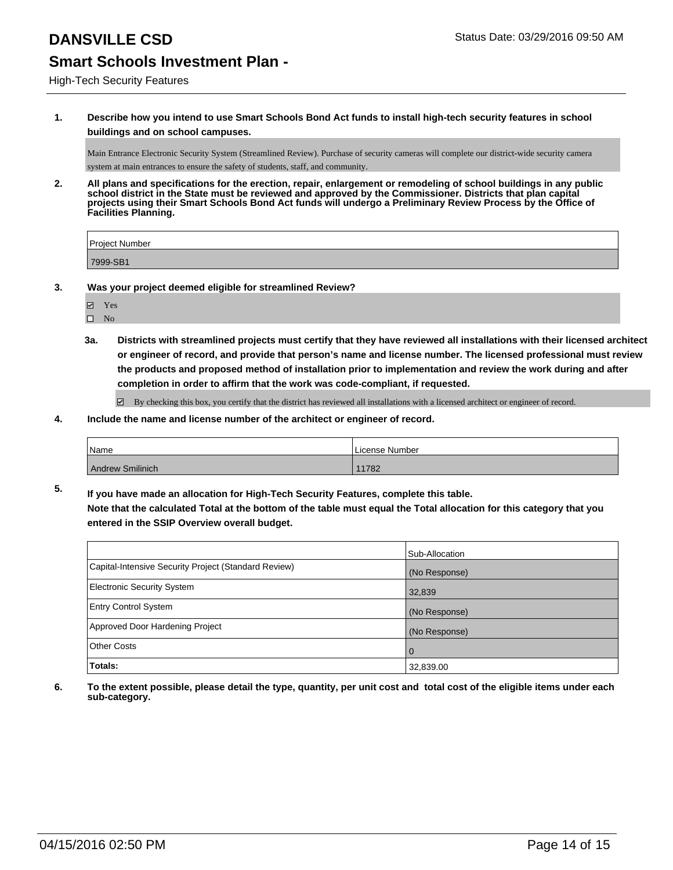### **DANSVILLE CSD DANSVILLE CSD Status Date: 03/29/2016 09:50 AM**

# **Smart Schools Investment Plan -**

### High-Tech Security Features

**1. Describe how you intend to use Smart Schools Bond Act funds to install high-tech security features in school buildings and on school campuses.**

Main Entrance Electronic Security System (Streamlined Review). Purchase of security cameras will complete our district-wide security camera system at main entrances to ensure the safety of students, staff, and community.

**2. All plans and specifications for the erection, repair, enlargement or remodeling of school buildings in any public school district in the State must be reviewed and approved by the Commissioner. Districts that plan capital projects using their Smart Schools Bond Act funds will undergo a Preliminary Review Process by the Office of Facilities Planning.** 

| <b>Project Number</b> |  |
|-----------------------|--|
| 7999-SB1              |  |

- **3. Was your project deemed eligible for streamlined Review?**
	- Yes
	- $\square$  No
	- **3a. Districts with streamlined projects must certify that they have reviewed all installations with their licensed architect or engineer of record, and provide that person's name and license number. The licensed professional must review the products and proposed method of installation prior to implementation and review the work during and after completion in order to affirm that the work was code-compliant, if requested.**

 $\boxtimes$  By checking this box, you certify that the district has reviewed all installations with a licensed architect or engineer of record.

### **4. Include the name and license number of the architect or engineer of record.**

| <b>Name</b>      | License Number |
|------------------|----------------|
| Andrew Smilinich | 11782          |

**5. If you have made an allocation for High-Tech Security Features, complete this table. Note that the calculated Total at the bottom of the table must equal the Total allocation for this category that you entered in the SSIP Overview overall budget.**

|                                                      | Sub-Allocation |
|------------------------------------------------------|----------------|
| Capital-Intensive Security Project (Standard Review) | (No Response)  |
| Electronic Security System                           | 32,839         |
| <b>Entry Control System</b>                          | (No Response)  |
| Approved Door Hardening Project                      | (No Response)  |
| Other Costs                                          | <u>  O</u>     |
| Totals:                                              | 32,839.00      |